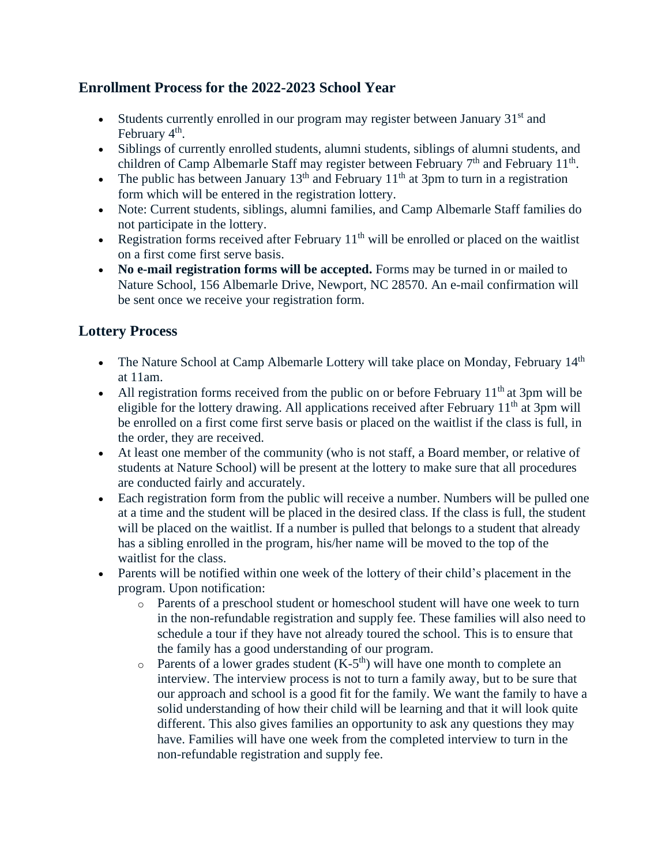## **Enrollment Process for the 2022-2023 School Year**

- Students currently enrolled in our program may register between January  $31<sup>st</sup>$  and February 4<sup>th</sup>.
- Siblings of currently enrolled students, alumni students, siblings of alumni students, and children of Camp Albemarle Staff may register between February  $7<sup>th</sup>$  and February 11<sup>th</sup>.
- The public has between January  $13<sup>th</sup>$  and February  $11<sup>th</sup>$  at 3pm to turn in a registration form which will be entered in the registration lottery.
- Note: Current students, siblings, alumni families, and Camp Albemarle Staff families do not participate in the lottery.
- Registration forms received after February  $11<sup>th</sup>$  will be enrolled or placed on the waitlist on a first come first serve basis.
- **No e-mail registration forms will be accepted.** Forms may be turned in or mailed to Nature School, 156 Albemarle Drive, Newport, NC 28570. An e-mail confirmation will be sent once we receive your registration form.

## **Lottery Process**

- The Nature School at Camp Albemarle Lottery will take place on Monday, February 14<sup>th</sup> at 11am.
- All registration forms received from the public on or before February  $11<sup>th</sup>$  at 3pm will be eligible for the lottery drawing. All applications received after February  $11<sup>th</sup>$  at 3pm will be enrolled on a first come first serve basis or placed on the waitlist if the class is full, in the order, they are received.
- At least one member of the community (who is not staff, a Board member, or relative of students at Nature School) will be present at the lottery to make sure that all procedures are conducted fairly and accurately.
- Each registration form from the public will receive a number. Numbers will be pulled one at a time and the student will be placed in the desired class. If the class is full, the student will be placed on the waitlist. If a number is pulled that belongs to a student that already has a sibling enrolled in the program, his/her name will be moved to the top of the waitlist for the class.
- Parents will be notified within one week of the lottery of their child's placement in the program. Upon notification:
	- o Parents of a preschool student or homeschool student will have one week to turn in the non-refundable registration and supply fee. These families will also need to schedule a tour if they have not already toured the school. This is to ensure that the family has a good understanding of our program.
	- $\circ$  Parents of a lower grades student (K-5<sup>th</sup>) will have one month to complete an interview. The interview process is not to turn a family away, but to be sure that our approach and school is a good fit for the family. We want the family to have a solid understanding of how their child will be learning and that it will look quite different. This also gives families an opportunity to ask any questions they may have. Families will have one week from the completed interview to turn in the non-refundable registration and supply fee.